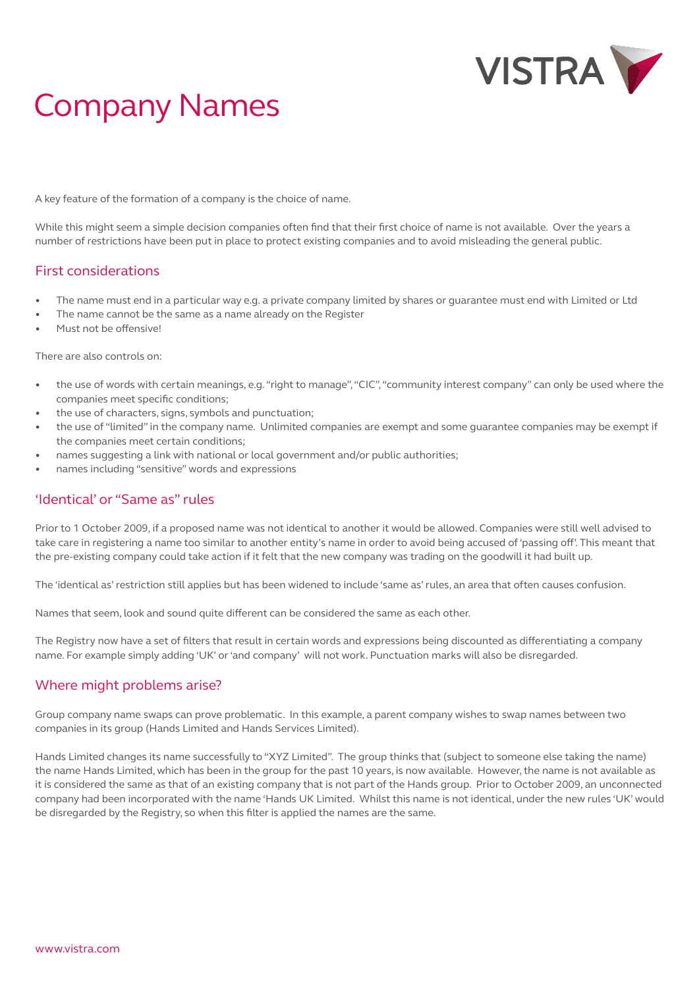

# Company Names

A key feature of the formation of a company is the choice of name.

While this might seem a simple decision companies often find that their first choice of name is not available. Over the years a number of restrictions have been put in place to protect existing companies and to avoid misleading the general public.

### First considerations

- The name must end in a particular way e.g. a private company limited by shares or guarantee must end with Limited or Ltd
- The name cannot be the same as a name already on the Register
- Must not be offensive!

There are also controls on:

- the use of words with certain meanings, e.g. "right to manage", "CIC", "community interest company" can only be used where the companies meet specific conditions;
- the use of characters, signs, symbols and punctuation;
- the use of "limited" in the company name. Unlimited companies are exempt and some guarantee companies may be exempt if the companies meet certain conditions;
- names suggesting a link with national or local government and/or public authorities;
- names including "sensitive" words and expressions

#### 'Identical' or "Same as" rules

Prior to 1 October 2009, if a proposed name was not identical to another it would be allowed. Companies were still well advised to take care in registering a name too similar to another entity's name in order to avoid being accused of 'passing off'. This meant that the pre-existing company could take action if it felt that the new company was trading on the goodwill it had built up.

The 'identical as' restriction still applies but has been widened to include 'same as' rules, an area that often causes confusion.

Names that seem, look and sound quite different can be considered the same as each other.

The Registry now have a set of filters that result in certain words and expressions being discounted as differentiating a company name. For example simply adding 'UK' or 'and company' will not work. Punctuation marks will also be disregarded.

#### Where might problems arise?

Group company name swaps can prove problematic. In this example, a parent company wishes to swap names between two companies in its group (Hands Limited and Hands Services Limited).

Hands Limited changes its name successfully to "XYZ Limited". The group thinks that (subject to someone else taking the name) the name Hands Limited, which has been in the group for the past 10 years, is now available. However, the name is not available as it is considered the same as that of an existing company that is not part of the Hands group. Prior to October 2009, an unconnected company had been incorporated with the name 'Hands UK Limited. Whilst this name is not identical, under the new rules 'UK' would be disregarded by the Registry, so when this filter is applied the names are the same.